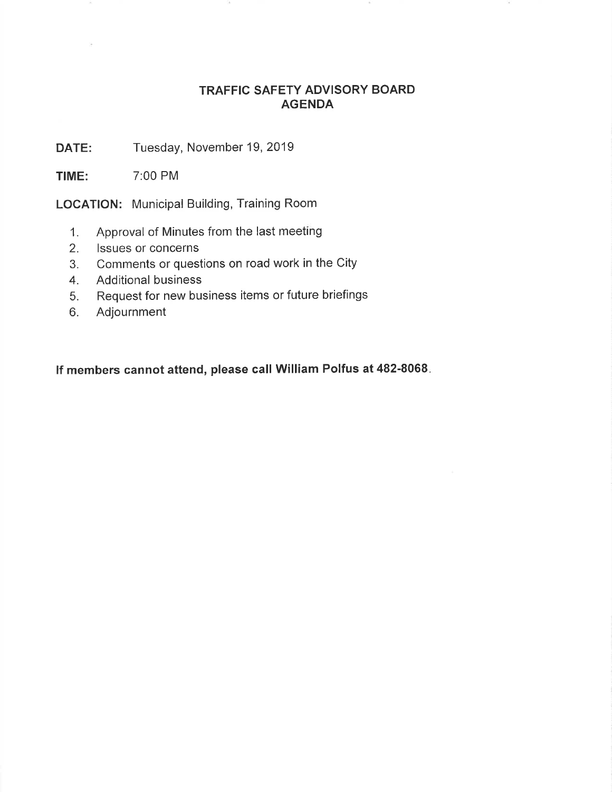## TRAFFIC SAFETY ADVISORY BOARD AGENDA

DATE: Tuesday, November 19, 2019

TIME: 7:00 PM

LOCATION: Municipal Building, Training Room

- 1. Approval of Minutes from the last meeting
- 2. lssues or concerns
- 3. Comments or questions on road work in the City
- 4. Additional business
- 5. Request for new business items or future briefings
- 6. Adjournment

lf members cannot attend, please call William Polfus at 482-8068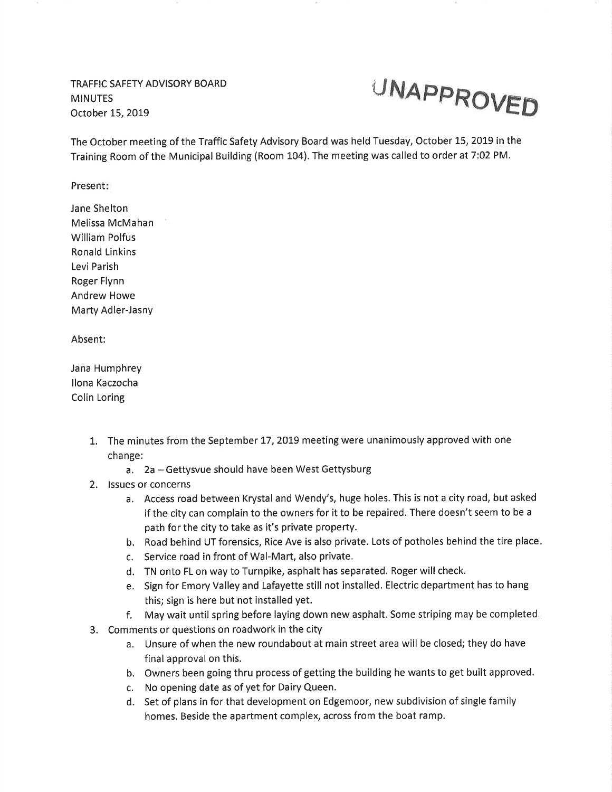TRAFFIC SAFETY ADVISORY BOARD **MINUTES** October L5,2OL9



The October meeting of the Traffic Safety Advisory Board was held Tuesday, October 15, 2019 in the Training Room of the Municipal Building (Room L04). The meeting was called to order at 7:02 PM.

Present

Jane Shelton Melissa McMahan William Polfus Ronald Linkins Levi Parish Roger Flynn Andrew Howe Marty Adler-Jasny

Absent:

Jana Humphrey llona Kaczocha Colin Loring

- 1. The minutes from the September 17, 2019 meeting were unanimously approved with one change:
	- a. 2a Gettysvue should have been West Gettysburg
- 2. lssues or concerns
	- a. Access road between Krystal and Wendy's, huge holes. This is not a city road, but asked if the city can complain to the owners for it to be repaired. There doesn't seem to be <sup>a</sup> path for the city to take as it's private property.
	- b. Road behind UT forensics, Rice Ave is also private. Lots of potholes behind the tire place
	- c. Service road in front of Wal-Mart, also private.
	- d. TN onto FL on way to Turnpike, asphalt has separated. Roger will check.
	- e. Sign for Emory Valley and Lafayette still not installed. Electric department has to hang this; sign is here but not installed yet.
	- f. May wait until spring before laying down new asphalt. Some striping may be completed,
- 3. Comments or questions on roadwork in the city
	- a. Unsure of when the new roundabout at main street area will be closed; they do have final approval on this.
	- b. Owners been going thru process of getting the building he wants to get built approved.
	- c. No opening date as of yet for Dairy Queen.
	- d. Set of plans in for that development on Edgemoor, new subdivision of single family homes. Beside the apartment complex, across from the boat ramp.